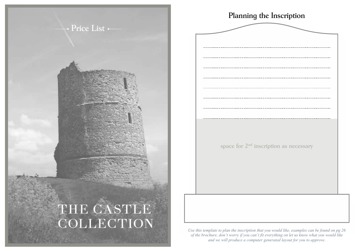



*Use this template to plan the inscription that you would like, examples can be found on pg 26 of the brochure, don't worry if you can't fit everything on let us know what you would like and we will produce a computer generated layout for you to approve.*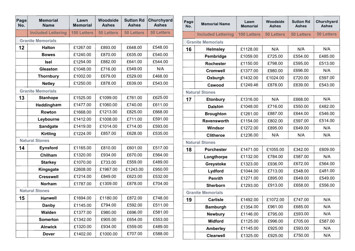| Page<br>No. | <b>Memorial</b><br><b>Name</b> | Lawn<br><b>Memorial</b> | <b>Woodside</b><br><b>Ashes</b> | <b>Sutton Rd</b><br><b>Ashes</b> | Churchyard<br><b>Ashes</b> |
|-------------|--------------------------------|-------------------------|---------------------------------|----------------------------------|----------------------------|
|             | <b>Included Lettering</b>      | <b>100 Letters</b>      | <b>50 Letters</b>               | <b>50 Letters</b>                | <b>50 Letters</b>          |
|             | <b>Granite Memorials</b>       |                         |                                 |                                  |                            |
| 12          | <b>Halton</b>                  | £1267.00                | £893.00                         | £648.00                          | £548.00                    |
|             | <b>Bowes</b>                   | £1240.00                | £870.00                         | £635.00                          | £540.00                    |
|             | <b>Isel</b>                    | £1254.00                | £882.00                         | £641.00                          | £544.00                    |
|             | <b>Gleaston</b>                | £1048.00                | £716.00                         | £549.00                          | N/A                        |
|             | <b>Thornbury</b>               | £1002.00                | £679.00                         | £529.00                          | £468.00                    |
|             | <b>Netley</b>                  | £1250.00                | £878.00                         | £639.00                          | £543.00                    |
|             | <b>Granite Memorials</b>       |                         |                                 |                                  |                            |
| 13          | <b>Stanhope</b>                | £1525.00                | £1099.00                        | £761.00                          | £625.00                    |
|             | Heddingham                     | £1477.00                | £1060.00                        | £740.00                          | £611.00                    |
|             | Rowton                         | £1668.00                | £1213.00                        | £825.00                          | £668.00                    |
|             | Leybourne                      | £1412.00                | £1008.00                        | £711.00                          | £591.00                    |
|             | <b>Sandgate</b>                | £1419.00                | £1014.00                        | £714.00                          | £593.00                    |
|             | <b>Kirtling</b>                | £1224.00                | £857.00                         | £628.00                          | £535.00                    |
|             | <b>Natural Stones</b>          |                         |                                 |                                  |                            |
| 14          | <b>Eynsford</b>                | £1165.00                | £810.00                         | £601.00                          | £517.00                    |
|             | Chilham                        | £1320.00                | £934.00                         | £670.00                          | £564.00                    |
|             | <b>Starkey</b>                 | £1070.00                | £733.00                         | £559.00                          | £489.00                    |
|             | Kingsgate                      | £2608.00                | £1967.00                        | £1243.00                         | £950.00                    |
|             | <b>Cresswell</b>               | £1214.00                | £849.00                         | £623.00                          | £532.00                    |
|             | <b>Norham</b>                  | £1787.00                | £1309.00                        | £878.00                          | £704.00                    |
|             | <b>Natural Stones</b>          |                         |                                 |                                  |                            |
| 15          | <b>Hanwell</b>                 | £1694.00                | £1180.00                        | £872.00                          | £748.00                    |
|             | <b>Danby</b>                   | £1145.00                | £794.00                         | £592.00                          | £511.00                    |
|             | Walden                         | £1377.00                | £980.00                         | £696.00                          | £581.00                    |
|             | <b>Somerton</b>                | £1342.00                | £905.00                         | £654.00                          | £553.00                    |
|             | <b>Alnwick</b>                 | £1320.00                | £934.00                         | £559.00                          | £489.00                    |
|             | <b>Dover</b>                   | £1402.00                | £1000.00                        | £707.00                          | £588.00                    |

| Page<br>No.              | <b>Memorial Name</b>      | Lawn<br><b>Memorial</b> | Woodside<br><b>Ashes</b> | <b>Sutton Rd</b><br><b>Ashes</b> | Churchyard<br><b>Ashes</b> |
|--------------------------|---------------------------|-------------------------|--------------------------|----------------------------------|----------------------------|
|                          | <b>Included Lettering</b> | <b>100 Letters</b>      | <b>50 Letters</b>        | <b>50 Letters</b>                | <b>50 Letters</b>          |
| <b>Granite Memorials</b> |                           |                         |                          |                                  |                            |
| 16                       | <b>Helmsley</b>           | £1128.00                | N/A                      | N/A                              | N/A                        |
|                          | Pembridge                 | £1059.00                | £725.00                  | £554.00                          | £485.00                    |
|                          | <b>Rochester</b>          | £1150.00                | £798.00                  | £595.00                          | £513.00                    |
|                          | <b>Cromwell</b>           | £1377.00                | £980.00                  | £696.00                          | N/A                        |
|                          | Oxburgh                   | £1432.00                | £1024.00                 | £720.00                          | £597.00                    |
|                          | Cawood                    | £1249.46                | £878.00                  | £639.00                          | £543.00                    |
|                          | <b>Natural Stones</b>     |                         |                          |                                  |                            |
| 17                       | <b>Etonbury</b>           | £1316.00                | N/A                      | £668.00                          | N/A                        |
|                          | <b>Dalston</b>            | £1048.00                | £716.00                  | £550.00                          | £482.00                    |
|                          | <b>Broughton</b>          | £1261.00                | £887.00                  | £644.00                          | £546.00                    |
|                          | Ravensworth               | £1154.00                | £802.00                  | £597.00                          | £514.00                    |
|                          | Windsor                   | £1272.00                | £895.00                  | £649.00                          | N/A                        |
|                          | <b>Clitheroe</b>          | £1236.00                | N/A                      | N/A                              | N/A                        |
| <b>Natural Stones</b>    |                           |                         |                          |                                  |                            |
| 18                       | <b>Porchester</b>         | £1471.00                | £1055.00                 | £342.00                          | £609.00                    |
|                          | Longthorpe                | £1132.00                | £784.00                  | £587.00                          | N/A                        |
|                          | Greystoke                 | £1323.00                | £936.00                  | £672.00                          | £564.00                    |
|                          | Lydford                   | £1044.00                | £713.00                  | £548.00                          | £481.00                    |
|                          | <b>Penrith</b>            | £1271.00                | £895.00                  | £649.00                          | £549.00                    |
|                          | <b>Sherborn</b>           | £1293.00                | £913.00                  | £658.00                          | £556.00                    |
| <b>Granite Memorials</b> |                           |                         |                          |                                  |                            |
| 19                       | <b>Carlisle</b>           | £1492.00                | £1072.00                 | £747.00                          | N/A                        |
|                          | <b>Bamburgh</b>           | £1354.00                | £961.00                  | £685.00                          | N/A                        |
|                          | <b>Newbury</b>            | £1146.00                | £795.00                  | £593.00                          | N/A                        |
|                          | <b>Midford</b>            | £1125.00                | £996.00                  | £705.00                          | £587.00                    |
|                          | <b>Amberley</b>           | £1145.00                | £925.00                  | £593.00                          | N/A                        |
|                          | <b>Clearwell</b>          | £1325.00                | £925.00                  | £750.00                          | N/A                        |